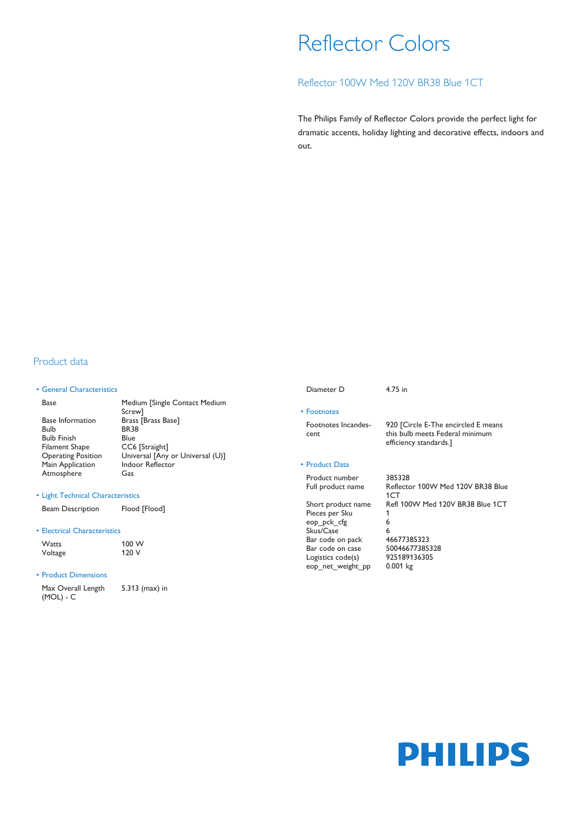# Reflector Colors

# Reflector 100W Med 120V BR38 Blue 1CT

The Philips Family of Reflector Colors provide the perfect light for dramatic accents, holiday lighting and decorative effects, indoors and out.

# Product data

### • General Characteristics

Base Medium [Single Contact Medium Screw] Base Information Brass [Brass Base] Bulb BR38 Bulb Finish Blue Filament Shape<br>Operating Position Universal [Any or Universal (U)]<br>Indoor Reflector Main Application Atmosphere Gas

#### • Light Technical Characteristics

Beam Description Flood [Flood]

#### • Electrical Characteristics

| Watts   | 100 W |
|---------|-------|
| Voltage | 120 V |

### • Product Dimensions

Max Overall Length (MOL) - C 5.313 (max) in

Diameter D 4.75 in

• Footnotes Footnotes Incandescent

#### • Product Data

Product number 385328

Pieces per Sku 1 eop\_pck\_cfg 6 Skus/Case 6 Bar code on pack 46677385323 Bar code on case 50046677385328<br>Logistics code(s) 925189136305 Logistics code(s) 9251891.<br>
eop net weight pp 0.001 kg eop\_net\_weight\_pp

# this bulb meets Federal minimum efficiency standards.]

920 [Circle E-The encircled E means

Full product name Reflector 100W Med 120V BR38 Blue 1CT Short product name Refl 100W Med 120V BR38 Blue 1CT